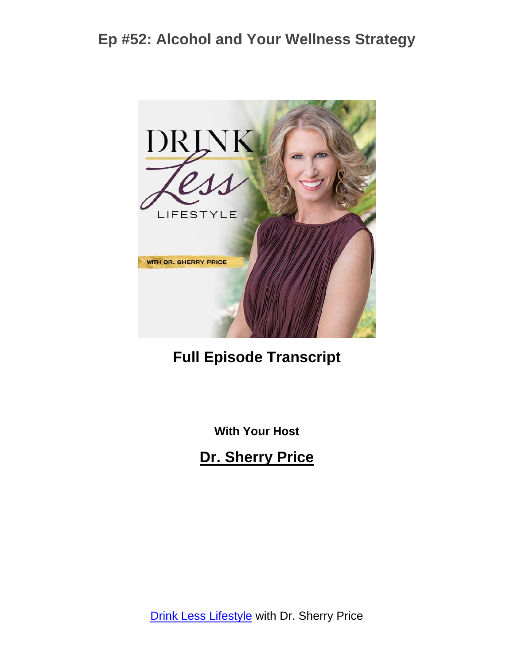

## **Full Episode Transcript**

**With Your Host**

#### **Dr. Sherry Price**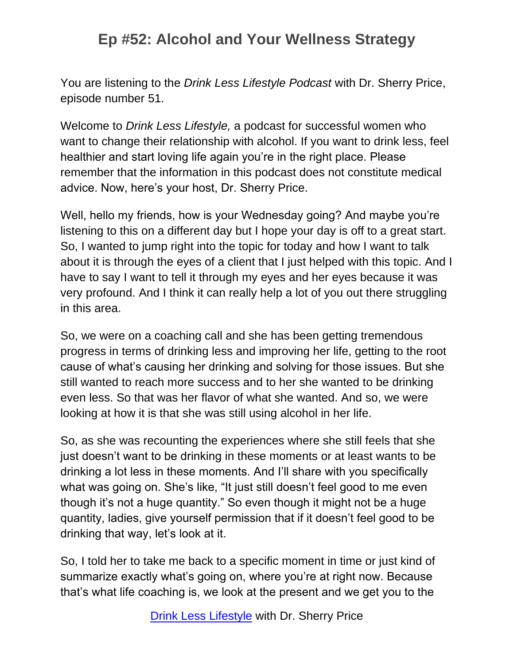You are listening to the *Drink Less Lifestyle Podcast* with Dr. Sherry Price, episode number 51.

Welcome to *Drink Less Lifestyle,* a podcast for successful women who want to change their relationship with alcohol. If you want to drink less, feel healthier and start loving life again you're in the right place. Please remember that the information in this podcast does not constitute medical advice. Now, here's your host, Dr. Sherry Price.

Well, hello my friends, how is your Wednesday going? And maybe you're listening to this on a different day but I hope your day is off to a great start. So, I wanted to jump right into the topic for today and how I want to talk about it is through the eyes of a client that I just helped with this topic. And I have to say I want to tell it through my eyes and her eyes because it was very profound. And I think it can really help a lot of you out there struggling in this area.

So, we were on a coaching call and she has been getting tremendous progress in terms of drinking less and improving her life, getting to the root cause of what's causing her drinking and solving for those issues. But she still wanted to reach more success and to her she wanted to be drinking even less. So that was her flavor of what she wanted. And so, we were looking at how it is that she was still using alcohol in her life.

So, as she was recounting the experiences where she still feels that she just doesn't want to be drinking in these moments or at least wants to be drinking a lot less in these moments. And I'll share with you specifically what was going on. She's like, "It just still doesn't feel good to me even though it's not a huge quantity." So even though it might not be a huge quantity, ladies, give yourself permission that if it doesn't feel good to be drinking that way, let's look at it.

So, I told her to take me back to a specific moment in time or just kind of summarize exactly what's going on, where you're at right now. Because that's what life coaching is, we look at the present and we get you to the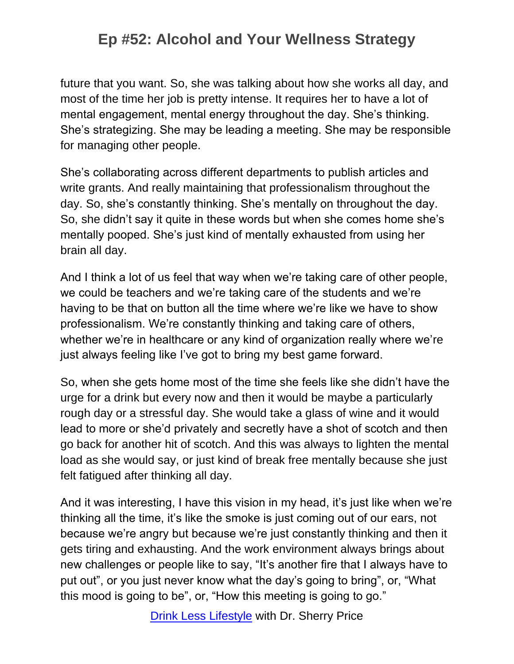future that you want. So, she was talking about how she works all day, and most of the time her job is pretty intense. It requires her to have a lot of mental engagement, mental energy throughout the day. She's thinking. She's strategizing. She may be leading a meeting. She may be responsible for managing other people.

She's collaborating across different departments to publish articles and write grants. And really maintaining that professionalism throughout the day. So, she's constantly thinking. She's mentally on throughout the day. So, she didn't say it quite in these words but when she comes home she's mentally pooped. She's just kind of mentally exhausted from using her brain all day.

And I think a lot of us feel that way when we're taking care of other people, we could be teachers and we're taking care of the students and we're having to be that on button all the time where we're like we have to show professionalism. We're constantly thinking and taking care of others, whether we're in healthcare or any kind of organization really where we're just always feeling like I've got to bring my best game forward.

So, when she gets home most of the time she feels like she didn't have the urge for a drink but every now and then it would be maybe a particularly rough day or a stressful day. She would take a glass of wine and it would lead to more or she'd privately and secretly have a shot of scotch and then go back for another hit of scotch. And this was always to lighten the mental load as she would say, or just kind of break free mentally because she just felt fatigued after thinking all day.

And it was interesting, I have this vision in my head, it's just like when we're thinking all the time, it's like the smoke is just coming out of our ears, not because we're angry but because we're just constantly thinking and then it gets tiring and exhausting. And the work environment always brings about new challenges or people like to say, "It's another fire that I always have to put out", or you just never know what the day's going to bring", or, "What this mood is going to be", or, "How this meeting is going to go."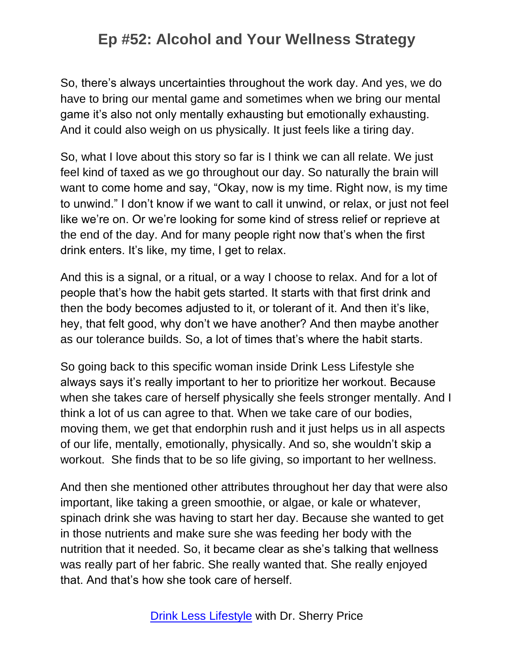So, there's always uncertainties throughout the work day. And yes, we do have to bring our mental game and sometimes when we bring our mental game it's also not only mentally exhausting but emotionally exhausting. And it could also weigh on us physically. It just feels like a tiring day.

So, what I love about this story so far is I think we can all relate. We just feel kind of taxed as we go throughout our day. So naturally the brain will want to come home and say, "Okay, now is my time. Right now, is my time to unwind." I don't know if we want to call it unwind, or relax, or just not feel like we're on. Or we're looking for some kind of stress relief or reprieve at the end of the day. And for many people right now that's when the first drink enters. It's like, my time, I get to relax.

And this is a signal, or a ritual, or a way I choose to relax. And for a lot of people that's how the habit gets started. It starts with that first drink and then the body becomes adjusted to it, or tolerant of it. And then it's like, hey, that felt good, why don't we have another? And then maybe another as our tolerance builds. So, a lot of times that's where the habit starts.

So going back to this specific woman inside Drink Less Lifestyle she always says it's really important to her to prioritize her workout. Because when she takes care of herself physically she feels stronger mentally. And I think a lot of us can agree to that. When we take care of our bodies, moving them, we get that endorphin rush and it just helps us in all aspects of our life, mentally, emotionally, physically. And so, she wouldn't skip a workout. She finds that to be so life giving, so important to her wellness.

And then she mentioned other attributes throughout her day that were also important, like taking a green smoothie, or algae, or kale or whatever, spinach drink she was having to start her day. Because she wanted to get in those nutrients and make sure she was feeding her body with the nutrition that it needed. So, it became clear as she's talking that wellness was really part of her fabric. She really wanted that. She really enjoyed that. And that's how she took care of herself.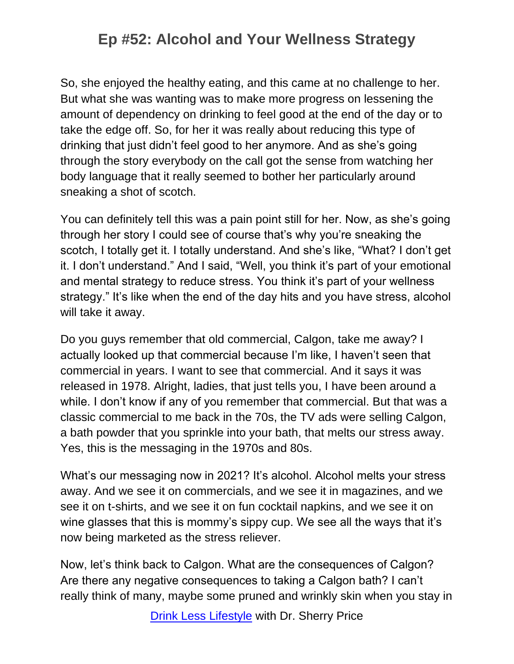So, she enjoyed the healthy eating, and this came at no challenge to her. But what she was wanting was to make more progress on lessening the amount of dependency on drinking to feel good at the end of the day or to take the edge off. So, for her it was really about reducing this type of drinking that just didn't feel good to her anymore. And as she's going through the story everybody on the call got the sense from watching her body language that it really seemed to bother her particularly around sneaking a shot of scotch.

You can definitely tell this was a pain point still for her. Now, as she's going through her story I could see of course that's why you're sneaking the scotch, I totally get it. I totally understand. And she's like, "What? I don't get it. I don't understand." And I said, "Well, you think it's part of your emotional and mental strategy to reduce stress. You think it's part of your wellness strategy." It's like when the end of the day hits and you have stress, alcohol will take it away.

Do you guys remember that old commercial, Calgon, take me away? I actually looked up that commercial because I'm like, I haven't seen that commercial in years. I want to see that commercial. And it says it was released in 1978. Alright, ladies, that just tells you, I have been around a while. I don't know if any of you remember that commercial. But that was a classic commercial to me back in the 70s, the TV ads were selling Calgon, a bath powder that you sprinkle into your bath, that melts our stress away. Yes, this is the messaging in the 1970s and 80s.

What's our messaging now in 2021? It's alcohol. Alcohol melts your stress away. And we see it on commercials, and we see it in magazines, and we see it on t-shirts, and we see it on fun cocktail napkins, and we see it on wine glasses that this is mommy's sippy cup. We see all the ways that it's now being marketed as the stress reliever.

Now, let's think back to Calgon. What are the consequences of Calgon? Are there any negative consequences to taking a Calgon bath? I can't really think of many, maybe some pruned and wrinkly skin when you stay in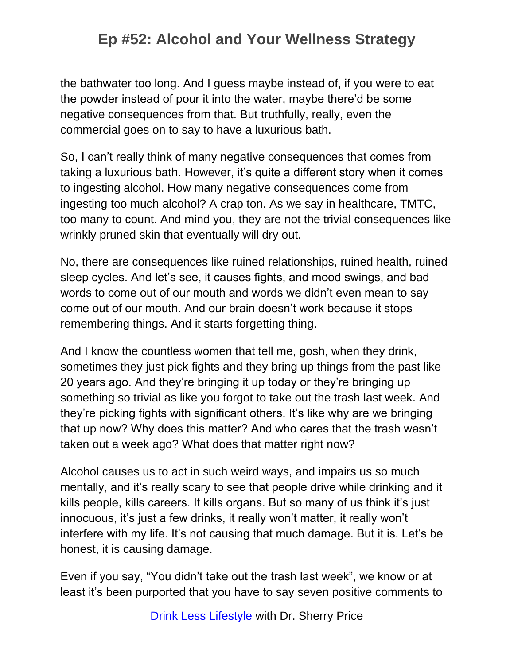the bathwater too long. And I guess maybe instead of, if you were to eat the powder instead of pour it into the water, maybe there'd be some negative consequences from that. But truthfully, really, even the commercial goes on to say to have a luxurious bath.

So, I can't really think of many negative consequences that comes from taking a luxurious bath. However, it's quite a different story when it comes to ingesting alcohol. How many negative consequences come from ingesting too much alcohol? A crap ton. As we say in healthcare, TMTC, too many to count. And mind you, they are not the trivial consequences like wrinkly pruned skin that eventually will dry out.

No, there are consequences like ruined relationships, ruined health, ruined sleep cycles. And let's see, it causes fights, and mood swings, and bad words to come out of our mouth and words we didn't even mean to say come out of our mouth. And our brain doesn't work because it stops remembering things. And it starts forgetting thing.

And I know the countless women that tell me, gosh, when they drink, sometimes they just pick fights and they bring up things from the past like 20 years ago. And they're bringing it up today or they're bringing up something so trivial as like you forgot to take out the trash last week. And they're picking fights with significant others. It's like why are we bringing that up now? Why does this matter? And who cares that the trash wasn't taken out a week ago? What does that matter right now?

Alcohol causes us to act in such weird ways, and impairs us so much mentally, and it's really scary to see that people drive while drinking and it kills people, kills careers. It kills organs. But so many of us think it's just innocuous, it's just a few drinks, it really won't matter, it really won't interfere with my life. It's not causing that much damage. But it is. Let's be honest, it is causing damage.

Even if you say, "You didn't take out the trash last week", we know or at least it's been purported that you have to say seven positive comments to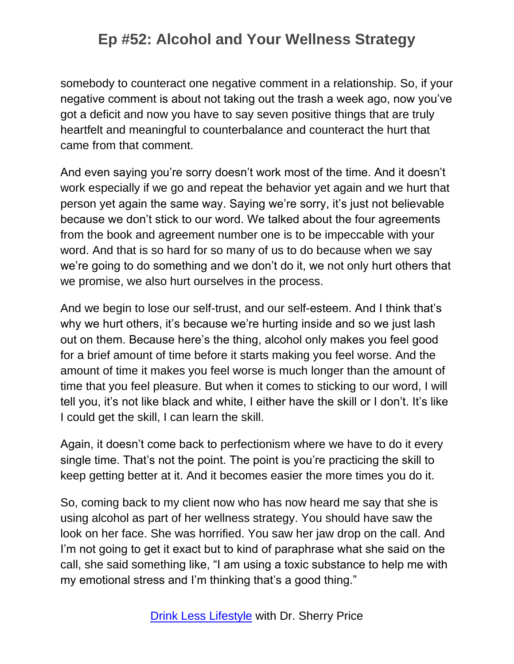somebody to counteract one negative comment in a relationship. So, if your negative comment is about not taking out the trash a week ago, now you've got a deficit and now you have to say seven positive things that are truly heartfelt and meaningful to counterbalance and counteract the hurt that came from that comment.

And even saying you're sorry doesn't work most of the time. And it doesn't work especially if we go and repeat the behavior yet again and we hurt that person yet again the same way. Saying we're sorry, it's just not believable because we don't stick to our word. We talked about the four agreements from the book and agreement number one is to be impeccable with your word. And that is so hard for so many of us to do because when we say we're going to do something and we don't do it, we not only hurt others that we promise, we also hurt ourselves in the process.

And we begin to lose our self-trust, and our self-esteem. And I think that's why we hurt others, it's because we're hurting inside and so we just lash out on them. Because here's the thing, alcohol only makes you feel good for a brief amount of time before it starts making you feel worse. And the amount of time it makes you feel worse is much longer than the amount of time that you feel pleasure. But when it comes to sticking to our word, I will tell you, it's not like black and white, I either have the skill or I don't. It's like I could get the skill, I can learn the skill.

Again, it doesn't come back to perfectionism where we have to do it every single time. That's not the point. The point is you're practicing the skill to keep getting better at it. And it becomes easier the more times you do it.

So, coming back to my client now who has now heard me say that she is using alcohol as part of her wellness strategy. You should have saw the look on her face. She was horrified. You saw her jaw drop on the call. And I'm not going to get it exact but to kind of paraphrase what she said on the call, she said something like, "I am using a toxic substance to help me with my emotional stress and I'm thinking that's a good thing."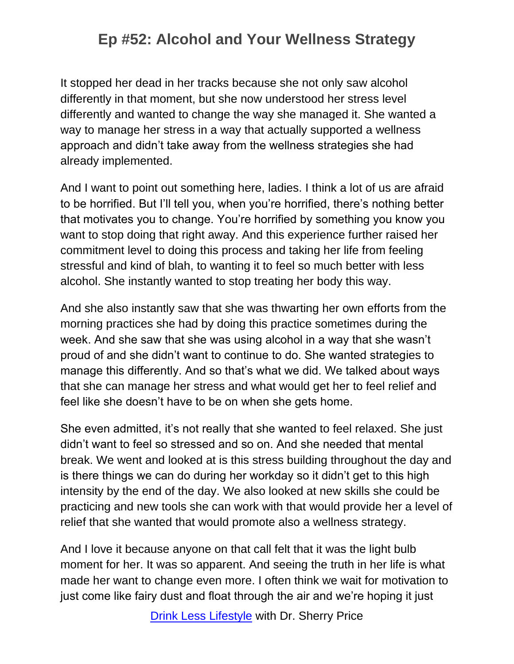It stopped her dead in her tracks because she not only saw alcohol differently in that moment, but she now understood her stress level differently and wanted to change the way she managed it. She wanted a way to manage her stress in a way that actually supported a wellness approach and didn't take away from the wellness strategies she had already implemented.

And I want to point out something here, ladies. I think a lot of us are afraid to be horrified. But I'll tell you, when you're horrified, there's nothing better that motivates you to change. You're horrified by something you know you want to stop doing that right away. And this experience further raised her commitment level to doing this process and taking her life from feeling stressful and kind of blah, to wanting it to feel so much better with less alcohol. She instantly wanted to stop treating her body this way.

And she also instantly saw that she was thwarting her own efforts from the morning practices she had by doing this practice sometimes during the week. And she saw that she was using alcohol in a way that she wasn't proud of and she didn't want to continue to do. She wanted strategies to manage this differently. And so that's what we did. We talked about ways that she can manage her stress and what would get her to feel relief and feel like she doesn't have to be on when she gets home.

She even admitted, it's not really that she wanted to feel relaxed. She just didn't want to feel so stressed and so on. And she needed that mental break. We went and looked at is this stress building throughout the day and is there things we can do during her workday so it didn't get to this high intensity by the end of the day. We also looked at new skills she could be practicing and new tools she can work with that would provide her a level of relief that she wanted that would promote also a wellness strategy.

And I love it because anyone on that call felt that it was the light bulb moment for her. It was so apparent. And seeing the truth in her life is what made her want to change even more. I often think we wait for motivation to just come like fairy dust and float through the air and we're hoping it just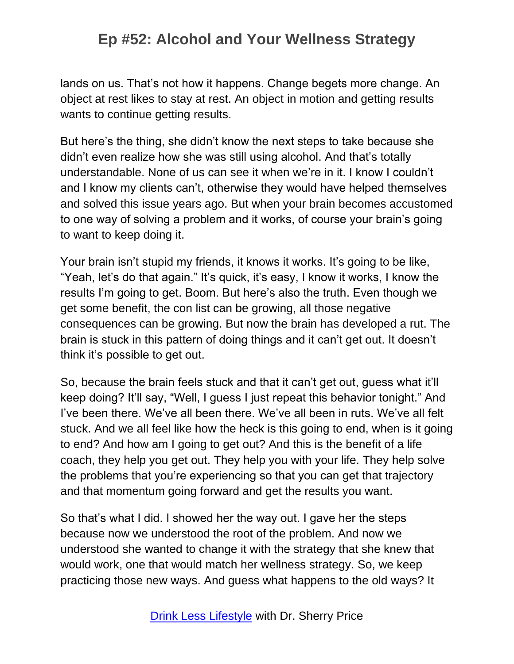lands on us. That's not how it happens. Change begets more change. An object at rest likes to stay at rest. An object in motion and getting results wants to continue getting results.

But here's the thing, she didn't know the next steps to take because she didn't even realize how she was still using alcohol. And that's totally understandable. None of us can see it when we're in it. I know I couldn't and I know my clients can't, otherwise they would have helped themselves and solved this issue years ago. But when your brain becomes accustomed to one way of solving a problem and it works, of course your brain's going to want to keep doing it.

Your brain isn't stupid my friends, it knows it works. It's going to be like, "Yeah, let's do that again." It's quick, it's easy, I know it works, I know the results I'm going to get. Boom. But here's also the truth. Even though we get some benefit, the con list can be growing, all those negative consequences can be growing. But now the brain has developed a rut. The brain is stuck in this pattern of doing things and it can't get out. It doesn't think it's possible to get out.

So, because the brain feels stuck and that it can't get out, guess what it'll keep doing? It'll say, "Well, I guess I just repeat this behavior tonight." And I've been there. We've all been there. We've all been in ruts. We've all felt stuck. And we all feel like how the heck is this going to end, when is it going to end? And how am I going to get out? And this is the benefit of a life coach, they help you get out. They help you with your life. They help solve the problems that you're experiencing so that you can get that trajectory and that momentum going forward and get the results you want.

So that's what I did. I showed her the way out. I gave her the steps because now we understood the root of the problem. And now we understood she wanted to change it with the strategy that she knew that would work, one that would match her wellness strategy. So, we keep practicing those new ways. And guess what happens to the old ways? It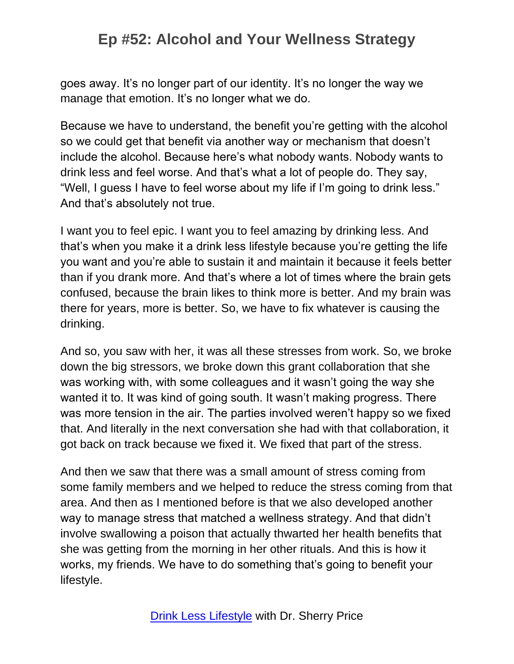goes away. It's no longer part of our identity. It's no longer the way we manage that emotion. It's no longer what we do.

Because we have to understand, the benefit you're getting with the alcohol so we could get that benefit via another way or mechanism that doesn't include the alcohol. Because here's what nobody wants. Nobody wants to drink less and feel worse. And that's what a lot of people do. They say, "Well, I guess I have to feel worse about my life if I'm going to drink less." And that's absolutely not true.

I want you to feel epic. I want you to feel amazing by drinking less. And that's when you make it a drink less lifestyle because you're getting the life you want and you're able to sustain it and maintain it because it feels better than if you drank more. And that's where a lot of times where the brain gets confused, because the brain likes to think more is better. And my brain was there for years, more is better. So, we have to fix whatever is causing the drinking.

And so, you saw with her, it was all these stresses from work. So, we broke down the big stressors, we broke down this grant collaboration that she was working with, with some colleagues and it wasn't going the way she wanted it to. It was kind of going south. It wasn't making progress. There was more tension in the air. The parties involved weren't happy so we fixed that. And literally in the next conversation she had with that collaboration, it got back on track because we fixed it. We fixed that part of the stress.

And then we saw that there was a small amount of stress coming from some family members and we helped to reduce the stress coming from that area. And then as I mentioned before is that we also developed another way to manage stress that matched a wellness strategy. And that didn't involve swallowing a poison that actually thwarted her health benefits that she was getting from the morning in her other rituals. And this is how it works, my friends. We have to do something that's going to benefit your lifestyle.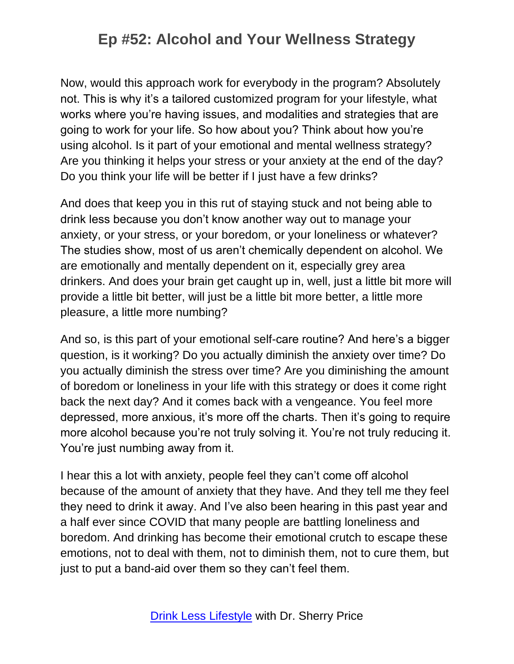Now, would this approach work for everybody in the program? Absolutely not. This is why it's a tailored customized program for your lifestyle, what works where you're having issues, and modalities and strategies that are going to work for your life. So how about you? Think about how you're using alcohol. Is it part of your emotional and mental wellness strategy? Are you thinking it helps your stress or your anxiety at the end of the day? Do you think your life will be better if I just have a few drinks?

And does that keep you in this rut of staying stuck and not being able to drink less because you don't know another way out to manage your anxiety, or your stress, or your boredom, or your loneliness or whatever? The studies show, most of us aren't chemically dependent on alcohol. We are emotionally and mentally dependent on it, especially grey area drinkers. And does your brain get caught up in, well, just a little bit more will provide a little bit better, will just be a little bit more better, a little more pleasure, a little more numbing?

And so, is this part of your emotional self-care routine? And here's a bigger question, is it working? Do you actually diminish the anxiety over time? Do you actually diminish the stress over time? Are you diminishing the amount of boredom or loneliness in your life with this strategy or does it come right back the next day? And it comes back with a vengeance. You feel more depressed, more anxious, it's more off the charts. Then it's going to require more alcohol because you're not truly solving it. You're not truly reducing it. You're just numbing away from it.

I hear this a lot with anxiety, people feel they can't come off alcohol because of the amount of anxiety that they have. And they tell me they feel they need to drink it away. And I've also been hearing in this past year and a half ever since COVID that many people are battling loneliness and boredom. And drinking has become their emotional crutch to escape these emotions, not to deal with them, not to diminish them, not to cure them, but just to put a band-aid over them so they can't feel them.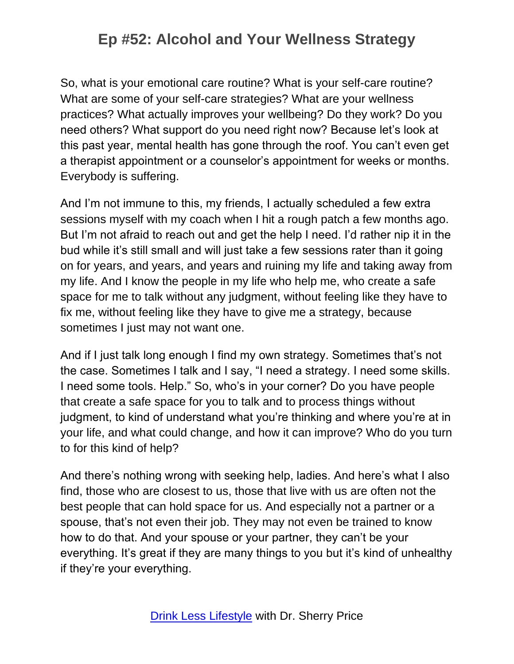So, what is your emotional care routine? What is your self-care routine? What are some of your self-care strategies? What are your wellness practices? What actually improves your wellbeing? Do they work? Do you need others? What support do you need right now? Because let's look at this past year, mental health has gone through the roof. You can't even get a therapist appointment or a counselor's appointment for weeks or months. Everybody is suffering.

And I'm not immune to this, my friends, I actually scheduled a few extra sessions myself with my coach when I hit a rough patch a few months ago. But I'm not afraid to reach out and get the help I need. I'd rather nip it in the bud while it's still small and will just take a few sessions rater than it going on for years, and years, and years and ruining my life and taking away from my life. And I know the people in my life who help me, who create a safe space for me to talk without any judgment, without feeling like they have to fix me, without feeling like they have to give me a strategy, because sometimes I just may not want one.

And if I just talk long enough I find my own strategy. Sometimes that's not the case. Sometimes I talk and I say, "I need a strategy. I need some skills. I need some tools. Help." So, who's in your corner? Do you have people that create a safe space for you to talk and to process things without judgment, to kind of understand what you're thinking and where you're at in your life, and what could change, and how it can improve? Who do you turn to for this kind of help?

And there's nothing wrong with seeking help, ladies. And here's what I also find, those who are closest to us, those that live with us are often not the best people that can hold space for us. And especially not a partner or a spouse, that's not even their job. They may not even be trained to know how to do that. And your spouse or your partner, they can't be your everything. It's great if they are many things to you but it's kind of unhealthy if they're your everything.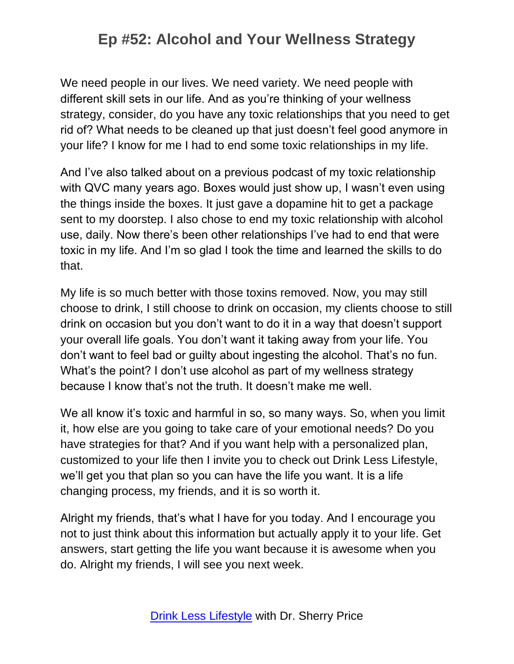We need people in our lives. We need variety. We need people with different skill sets in our life. And as you're thinking of your wellness strategy, consider, do you have any toxic relationships that you need to get rid of? What needs to be cleaned up that just doesn't feel good anymore in your life? I know for me I had to end some toxic relationships in my life.

And I've also talked about on a previous podcast of my toxic relationship with QVC many years ago. Boxes would just show up, I wasn't even using the things inside the boxes. It just gave a dopamine hit to get a package sent to my doorstep. I also chose to end my toxic relationship with alcohol use, daily. Now there's been other relationships I've had to end that were toxic in my life. And I'm so glad I took the time and learned the skills to do that.

My life is so much better with those toxins removed. Now, you may still choose to drink, I still choose to drink on occasion, my clients choose to still drink on occasion but you don't want to do it in a way that doesn't support your overall life goals. You don't want it taking away from your life. You don't want to feel bad or guilty about ingesting the alcohol. That's no fun. What's the point? I don't use alcohol as part of my wellness strategy because I know that's not the truth. It doesn't make me well.

We all know it's toxic and harmful in so, so many ways. So, when you limit it, how else are you going to take care of your emotional needs? Do you have strategies for that? And if you want help with a personalized plan, customized to your life then I invite you to check out Drink Less Lifestyle, we'll get you that plan so you can have the life you want. It is a life changing process, my friends, and it is so worth it.

Alright my friends, that's what I have for you today. And I encourage you not to just think about this information but actually apply it to your life. Get answers, start getting the life you want because it is awesome when you do. Alright my friends, I will see you next week.